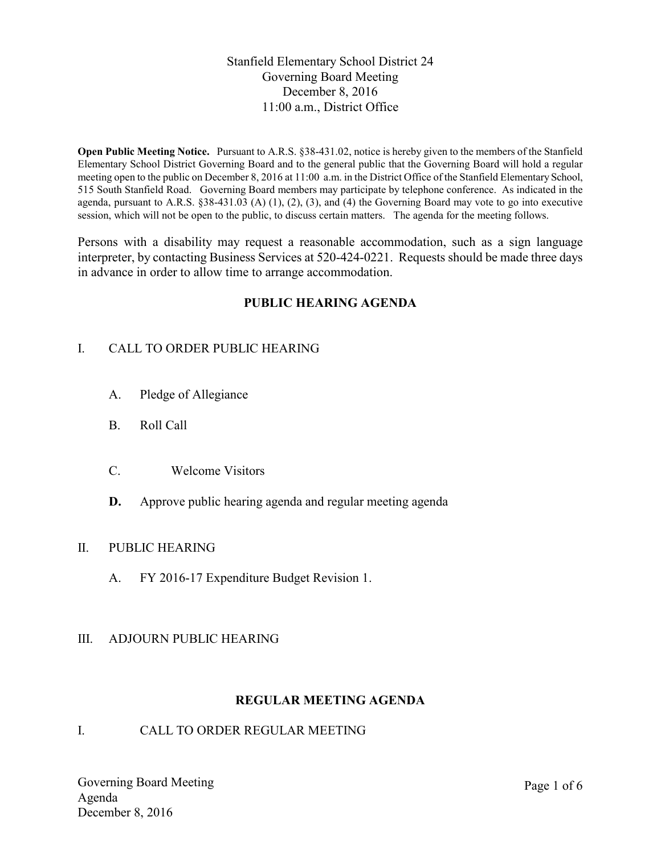# Stanfield Elementary School District 24 Governing Board Meeting December 8, 2016 11:00 a.m., District Office

**Open Public Meeting Notice.** Pursuant to A.R.S. §38-431.02, notice is hereby given to the members of the Stanfield Elementary School District Governing Board and to the general public that the Governing Board will hold a regular meeting open to the public on December 8, 2016 at 11:00 a.m. in the District Office of the Stanfield Elementary School, 515 South Stanfield Road. Governing Board members may participate by telephone conference. As indicated in the agenda, pursuant to A.R.S.  $\S 38-431.03$  (A) (1), (2), (3), and (4) the Governing Board may vote to go into executive session, which will not be open to the public, to discuss certain matters. The agenda for the meeting follows.

Persons with a disability may request a reasonable accommodation, such as a sign language interpreter, by contacting Business Services at 520-424-0221. Requests should be made three days in advance in order to allow time to arrange accommodation.

# **PUBLIC HEARING AGENDA**

# I. CALL TO ORDER PUBLIC HEARING

- A. Pledge of Allegiance
- B. Roll Call
- C. Welcome Visitors
- **D.** Approve public hearing agenda and regular meeting agenda

# II. PUBLIC HEARING

A. FY 2016-17 Expenditure Budget Revision 1.

# III. ADJOURN PUBLIC HEARING

### **REGULAR MEETING AGENDA**

# I. CALL TO ORDER REGULAR MEETING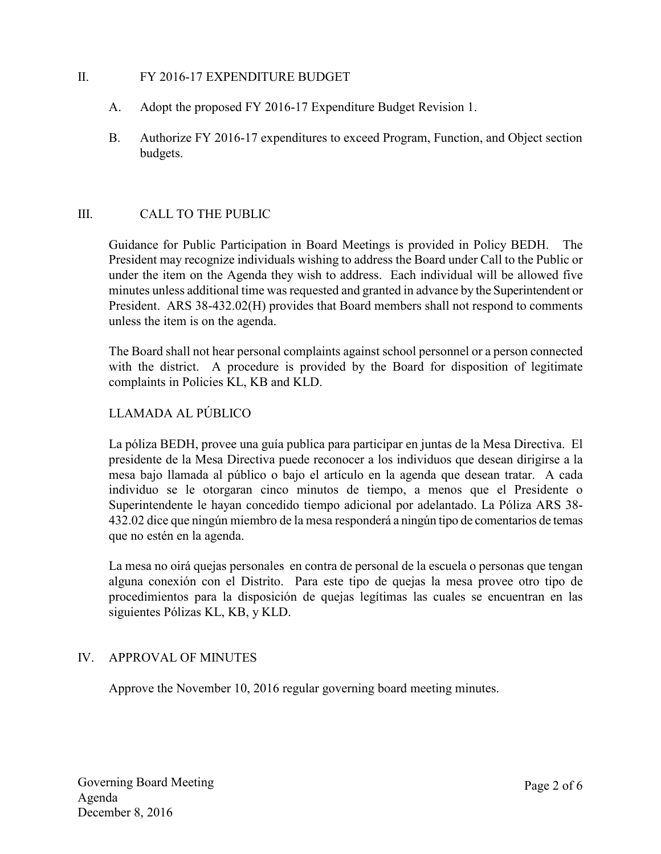### II. FY 2016-17 EXPENDITURE BUDGET

- A. Adopt the proposed FY 2016-17 Expenditure Budget Revision 1.
- B. Authorize FY 2016-17 expenditures to exceed Program, Function, and Object section budgets.

### III. CALL TO THE PUBLIC

Guidance for Public Participation in Board Meetings is provided in Policy BEDH. The President may recognize individuals wishing to address the Board under Call to the Public or under the item on the Agenda they wish to address. Each individual will be allowed five minutes unless additional time was requested and granted in advance by the Superintendent or President. ARS 38-432.02(H) provides that Board members shall not respond to comments unless the item is on the agenda.

The Board shall not hear personal complaints against school personnel or a person connected with the district. A procedure is provided by the Board for disposition of legitimate complaints in Policies KL, KB and KLD.

# LLAMADA AL PÚBLICO

La póliza BEDH, provee una guía publica para participar en juntas de la Mesa Directiva. El presidente de la Mesa Directiva puede reconocer a los individuos que desean dirigirse a la mesa bajo llamada al público o bajo el artículo en la agenda que desean tratar. A cada individuo se le otorgaran cinco minutos de tiempo, a menos que el Presidente o Superintendente le hayan concedido tiempo adicional por adelantado. La Póliza ARS 38- 432.02 dice que ningún miembro de la mesa responderá a ningún tipo de comentarios de temas que no estén en la agenda.

La mesa no oirá quejas personales en contra de personal de la escuela o personas que tengan alguna conexión con el Distrito. Para este tipo de quejas la mesa provee otro tipo de procedimientos para la disposición de quejas legítimas las cuales se encuentran en las siguientes Pólizas KL, KB, y KLD.

# IV. APPROVAL OF MINUTES

Approve the November 10, 2016 regular governing board meeting minutes.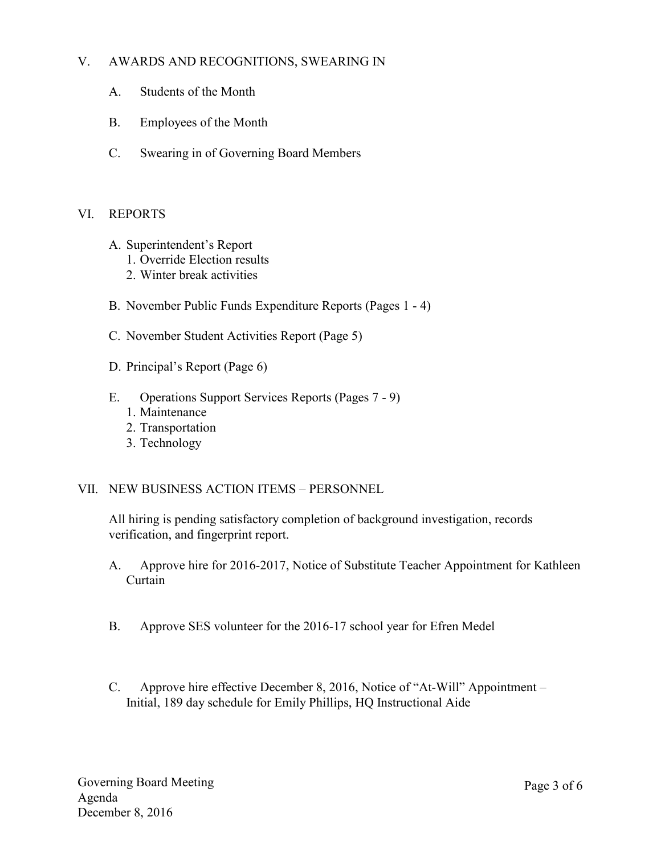# V. AWARDS AND RECOGNITIONS, SWEARING IN

- A. Students of the Month
- B. Employees of the Month
- C. Swearing in of Governing Board Members

### VI. REPORTS

- A. Superintendent's Report
	- 1. Override Election results
	- 2. Winter break activities
- B. November Public Funds Expenditure Reports (Pages 1 4)
- C. November Student Activities Report (Page 5)
- D. Principal's Report (Page 6)
- E. Operations Support Services Reports (Pages 7 9)
	- 1. Maintenance
	- 2. Transportation
	- 3. Technology

### VII. NEW BUSINESS ACTION ITEMS – PERSONNEL

All hiring is pending satisfactory completion of background investigation, records verification, and fingerprint report.

- A. Approve hire for 2016-2017, Notice of Substitute Teacher Appointment for Kathleen Curtain
- B. Approve SES volunteer for the 2016-17 school year for Efren Medel
- C. Approve hire effective December 8, 2016, Notice of "At-Will" Appointment Initial, 189 day schedule for Emily Phillips, HQ Instructional Aide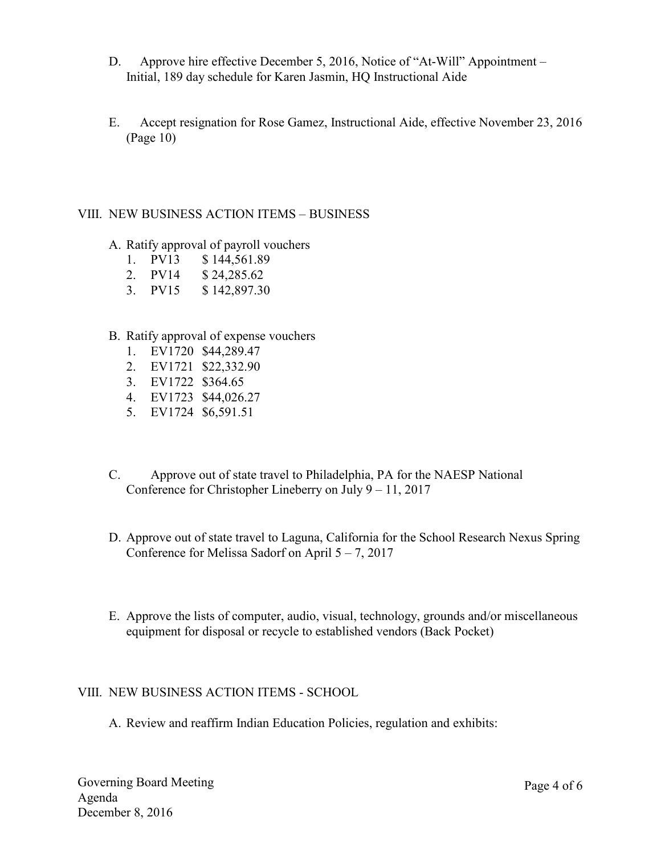- D. Approve hire effective December 5, 2016, Notice of "At-Will" Appointment Initial, 189 day schedule for Karen Jasmin, HQ Instructional Aide
- E. Accept resignation for Rose Gamez, Instructional Aide, effective November 23, 2016 (Page 10)

### VIII. NEW BUSINESS ACTION ITEMS – BUSINESS

- A. Ratify approval of payroll vouchers
	- 1. PV13 \$ 144,561.89
	- 2. PV14 \$ 24,285.62
	- 3. PV15 \$ 142,897.30

### B. Ratify approval of expense vouchers

- 1. EV1720 \$44,289.47
- 2. EV1721 \$22,332.90
- 3. EV1722 \$364.65
- 4. EV1723 \$44,026.27
- 5. EV1724 \$6,591.51
- C. Approve out of state travel to Philadelphia, PA for the NAESP National Conference for Christopher Lineberry on July 9 – 11, 2017
- D. Approve out of state travel to Laguna, California for the School Research Nexus Spring Conference for Melissa Sadorf on April  $5 - 7$ , 2017
- E. Approve the lists of computer, audio, visual, technology, grounds and/or miscellaneous equipment for disposal or recycle to established vendors (Back Pocket)

### VIII. NEW BUSINESS ACTION ITEMS - SCHOOL

A. Review and reaffirm Indian Education Policies, regulation and exhibits: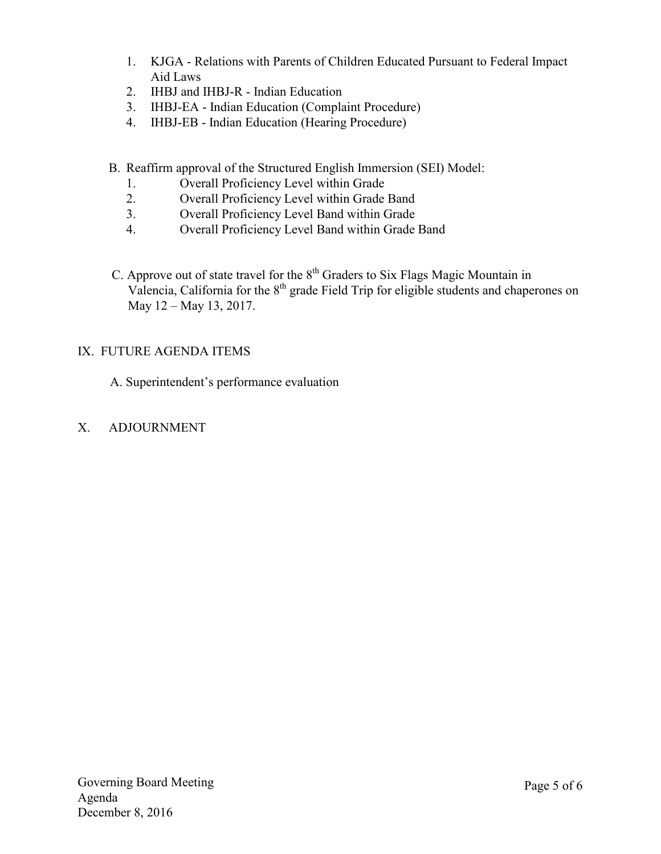- 1. KJGA Relations with Parents of Children Educated Pursuant to Federal Impact Aid Laws
- 2. IHBJ and IHBJ-R Indian Education
- 3. IHBJ-EA Indian Education (Complaint Procedure)
- 4. IHBJ-EB Indian Education (Hearing Procedure)
- B. Reaffirm approval of the Structured English Immersion (SEI) Model:
	- 1. Overall Proficiency Level within Grade
	- 2. Overall Proficiency Level within Grade Band
	- 3. Overall Proficiency Level Band within Grade
	- 4. Overall Proficiency Level Band within Grade Band
- C. Approve out of state travel for the  $8<sup>th</sup>$  Graders to Six Flags Magic Mountain in Valencia, California for the  $8<sup>th</sup>$  grade Field Trip for eligible students and chaperones on May 12 – May 13, 2017.

# IX. FUTURE AGENDA ITEMS

A. Superintendent's performance evaluation

X. ADJOURNMENT